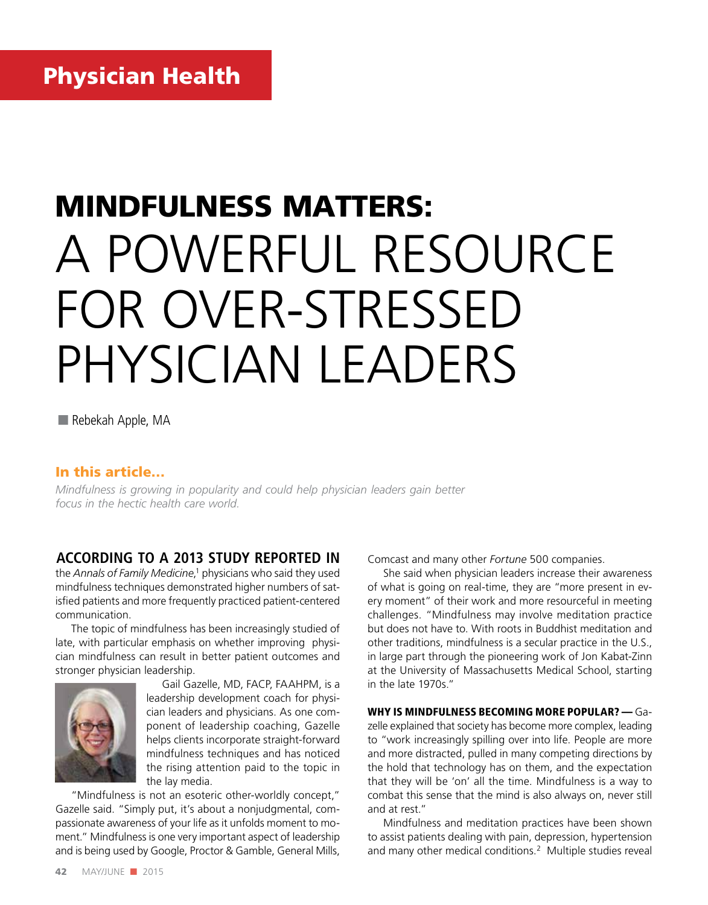# MINDFULNESS MATTERS: A POWERFUL RESOURCE FOR OVER-STRESSED PHYSICIAN LEADERS

 $\blacksquare$  Rebekah Apple, MA

#### In this article…

*Mindfulness is growing in popularity and could help physician leaders gain better focus in the hectic health care world.*

### **ACCORDING TO A 2013 STUDY REPORTED IN**

the *Annals of Family Medicine*, 1 physicians who said they used mindfulness techniques demonstrated higher numbers of satisfied patients and more frequently practiced patient-centered communication.

The topic of mindfulness has been increasingly studied of late, with particular emphasis on whether improving physician mindfulness can result in better patient outcomes and stronger physician leadership.



Gail Gazelle, MD, FACP, FAAHPM, is a leadership development coach for physician leaders and physicians. As one component of leadership coaching, Gazelle helps clients incorporate straight-forward mindfulness techniques and has noticed the rising attention paid to the topic in the lay media.

"Mindfulness is not an esoteric other-worldly concept," Gazelle said. "Simply put, it's about a nonjudgmental, compassionate awareness of your life as it unfolds moment to moment." Mindfulness is one very important aspect of leadership and is being used by Google, Proctor & Gamble, General Mills,

Comcast and many other *Fortune* 500 companies.

She said when physician leaders increase their awareness of what is going on real-time, they are "more present in every moment" of their work and more resourceful in meeting challenges. "Mindfulness may involve meditation practice but does not have to. With roots in Buddhist meditation and other traditions, mindfulness is a secular practice in the U.S., in large part through the pioneering work of Jon Kabat-Zinn at the University of Massachusetts Medical School, starting in the late 1970s."

WHY IS MINDFULNESS BECOMING MORE POPULAR? - Gazelle explained that society has become more complex, leading to "work increasingly spilling over into life. People are more and more distracted, pulled in many competing directions by the hold that technology has on them, and the expectation that they will be 'on' all the time. Mindfulness is a way to combat this sense that the mind is also always on, never still and at rest."

Mindfulness and meditation practices have been shown to assist patients dealing with pain, depression, hypertension and many other medical conditions.<sup>2</sup> Multiple studies reveal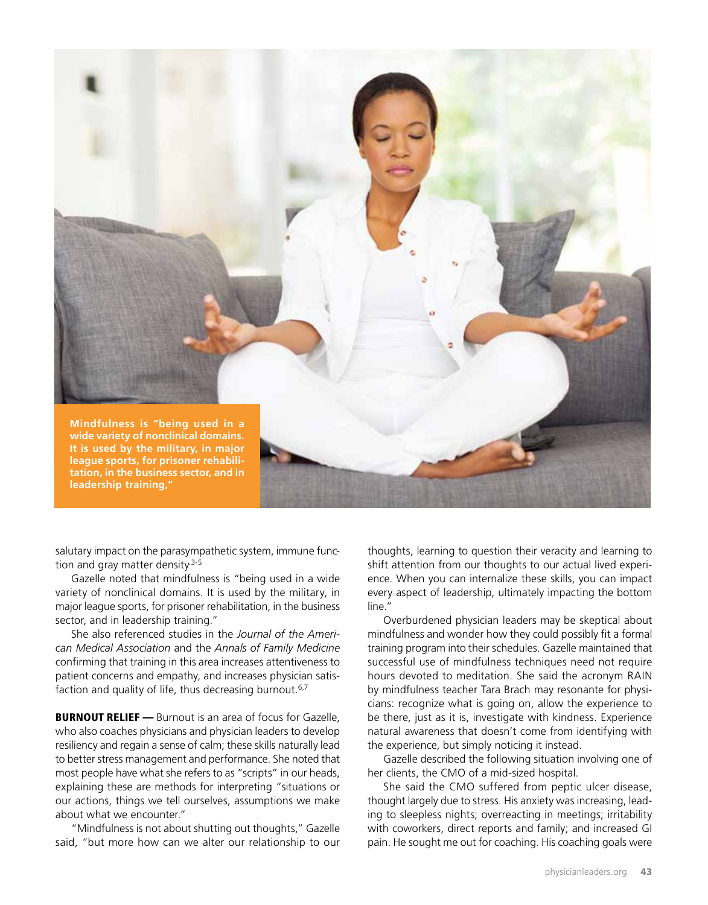

salutary impact on the parasympathetic system, immune function and gray matter density $3-5$ 

Gazelle noted that mindfulness is "being used in a wide variety of nonclinical domains. It is used by the military, in major league sports, for prisoner rehabilitation, in the business sector, and in leadership training."

She also referenced studies in the *Journal of the American Medical Association* and the *Annals of Family Medicine* confirming that training in this area increases attentiveness to patient concerns and empathy, and increases physician satisfaction and quality of life, thus decreasing burnout.<sup>6,7</sup>

**BURNOUT RELIEF** — Burnout is an area of focus for Gazelle, who also coaches physicians and physician leaders to develop resiliency and regain a sense of calm; these skills naturally lead to better stress management and performance. She noted that most people have what she refers to as "scripts" in our heads, explaining these are methods for interpreting "situations or our actions, things we tell ourselves, assumptions we make about what we encounter."

"Mindfulness is not about shutting out thoughts," Gazelle said, "but more how can we alter our relationship to our

thoughts, learning to question their veracity and learning to shift attention from our thoughts to our actual lived experience. When you can internalize these skills, you can impact every aspect of leadership, ultimately impacting the bottom line."

Overburdened physician leaders may be skeptical about mindfulness and wonder how they could possibly fit a formal training program into their schedules. Gazelle maintained that successful use of mindfulness techniques need not require hours devoted to meditation. She said the acronym RAIN by mindfulness teacher Tara Brach may resonante for physicians: recognize what is going on, allow the experience to be there, just as it is, investigate with kindness. Experience natural awareness that doesn't come from identifying with the experience, but simply noticing it instead.

Gazelle described the following situation involving one of her clients, the CMO of a mid-sized hospital.

She said the CMO suffered from peptic ulcer disease, thought largely due to stress. His anxiety was increasing, leading to sleepless nights; overreacting in meetings; irritability with coworkers, direct reports and family; and increased GI pain. He sought me out for coaching. His coaching goals were